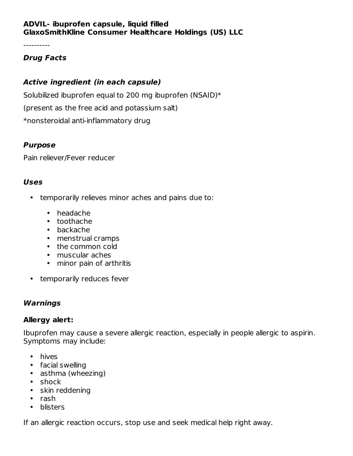### **ADVIL- ibuprofen capsule, liquid filled GlaxoSmithKline Consumer Healthcare Holdings (US) LLC**

----------

## **Drug Facts**

## **Active ingredient (in each capsule)**

Solubilized ibuprofen equal to 200 mg ibuprofen (NSAID)\* (present as the free acid and potassium salt) \*nonsteroidal anti-inflammatory drug

### **Purpose**

Pain reliever/Fever reducer

### **Uses**

- temporarily relieves minor aches and pains due to:
	- headache
	- toothache
	- backache
	- menstrual cramps
	- the common cold
	- muscular aches
	- minor pain of arthritis
- temporarily reduces fever

## **Warnings**

## **Allergy alert:**

Ibuprofen may cause a severe allergic reaction, especially in people allergic to aspirin. Symptoms may include:

- hives
- facial swelling
- asthma (wheezing)
- shock
- skin reddening
- rash
- blisters

If an allergic reaction occurs, stop use and seek medical help right away.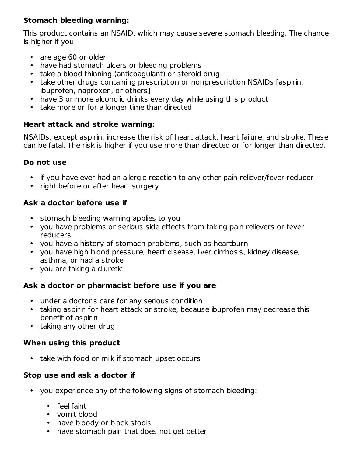## **Stomach bleeding warning:**

This product contains an NSAID, which may cause severe stomach bleeding. The chance is higher if you

- are age 60 or older
- have had stomach ulcers or bleeding problems
- take a blood thinning (anticoagulant) or steroid drug
- take other drugs containing prescription or nonprescription NSAIDs [aspirin, ibuprofen, naproxen, or others]
- have 3 or more alcoholic drinks every day while using this product
- take more or for a longer time than directed

## **Heart attack and stroke warning:**

NSAIDs, except aspirin, increase the risk of heart attack, heart failure, and stroke. These can be fatal. The risk is higher if you use more than directed or for longer than directed.

### **Do not use**

- if you have ever had an allergic reaction to any other pain reliever/fever reducer
- right before or after heart surgery

## **Ask a doctor before use if**

- stomach bleeding warning applies to you
- you have problems or serious side effects from taking pain relievers or fever reducers
- you have a history of stomach problems, such as heartburn
- you have high blood pressure, heart disease, liver cirrhosis, kidney disease, asthma, or had a stroke
- you are taking a diuretic

## **Ask a doctor or pharmacist before use if you are**

- under a doctor's care for any serious condition
- taking aspirin for heart attack or stroke, because ibuprofen may decrease this benefit of aspirin
- taking any other drug

## **When using this product**

• take with food or milk if stomach upset occurs

## **Stop use and ask a doctor if**

- you experience any of the following signs of stomach bleeding:
	- feel faint
	- vomit blood
	- have bloody or black stools
	- have stomach pain that does not get better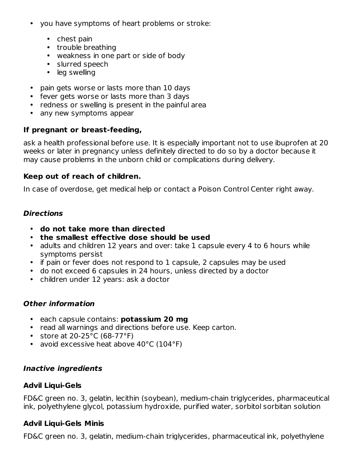- you have symptoms of heart problems or stroke:
	- chest pain
	- trouble breathing
	- weakness in one part or side of body
	- slurred speech
	- leg swelling
- pain gets worse or lasts more than 10 days
- fever gets worse or lasts more than 3 days
- redness or swelling is present in the painful area
- any new symptoms appear

## **If pregnant or breast-feeding,**

ask a health professional before use. It is especially important not to use ibuprofen at 20 weeks or later in pregnancy unless definitely directed to do so by a doctor because it may cause problems in the unborn child or complications during delivery.

### **Keep out of reach of children.**

In case of overdose, get medical help or contact a Poison Control Center right away.

## **Directions**

- **do not take more than directed**
- **the smallest effective dose should be used**
- adults and children 12 years and over: take 1 capsule every 4 to 6 hours while symptoms persist
- if pain or fever does not respond to 1 capsule, 2 capsules may be used
- do not exceed 6 capsules in 24 hours, unless directed by a doctor
- children under 12 years: ask a doctor

## **Other information**

- each capsule contains: **potassium 20 mg**
- read all warnings and directions before use. Keep carton.
- store at 20-25°C (68-77°F)
- avoid excessive heat above 40°C (104°F)

## **Inactive ingredients**

## **Advil Liqui-Gels**

FD&C green no. 3, gelatin, lecithin (soybean), medium-chain triglycerides, pharmaceutical ink, polyethylene glycol, potassium hydroxide, purified water, sorbitol sorbitan solution

## **Advil Liqui-Gels Minis**

FD&C green no. 3, gelatin, medium-chain triglycerides, pharmaceutical ink, polyethylene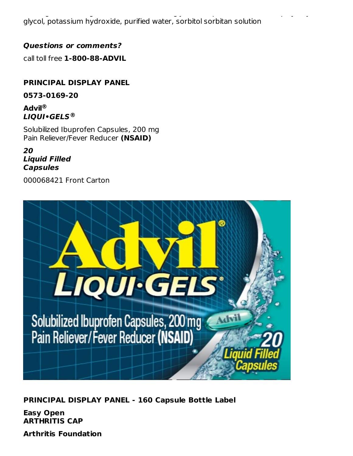FD&C green no. 3, gelatin, medium-chain triglycerides, pharmaceutical ink, polyethylene glycol, potassium hydroxide, purified water, sorbitol sorbitan solution

### **Questions or comments?**

call toll free **1-800-88-ADVIL**

## **PRINCIPAL DISPLAY PANEL**

**0573-0169-20**

**Advil ® LIQUI•GELS ®**

Solubilized Ibuprofen Capsules, 200 mg Pain Reliever/Fever Reducer **(NSAID)**

**20 Liquid Filled Capsules**

000068421 Front Carton



**PRINCIPAL DISPLAY PANEL - 160 Capsule Bottle Label**

**Easy Open ARTHRITIS CAP**

**Arthritis Foundation**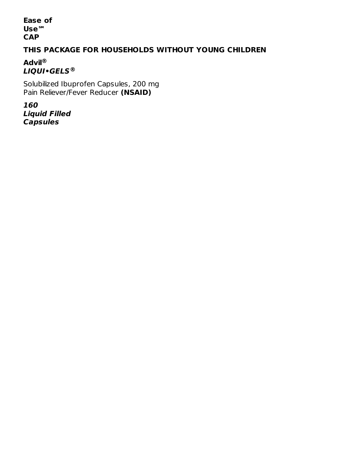**Ease of Use℠ CAP**

## **THIS PACKAGE FOR HOUSEHOLDS WITHOUT YOUNG CHILDREN**

**Advil ® LIQUI•GELS ®**

Solubilized Ibuprofen Capsules, 200 mg Pain Reliever/Fever Reducer **(NSAID)**

**160 Liquid Filled Capsules**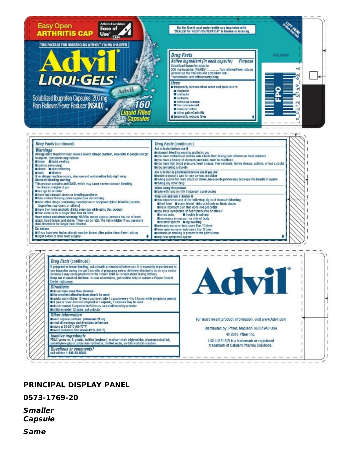

|                                                                                                                                                                                                                                                                                                                                                                                                                                                                                                                                                                                                                                                                                                                                                                                                                                      | Drug Facts (continued)                                                                                                                                                                                                                                                                                                                                                                                         |
|--------------------------------------------------------------------------------------------------------------------------------------------------------------------------------------------------------------------------------------------------------------------------------------------------------------------------------------------------------------------------------------------------------------------------------------------------------------------------------------------------------------------------------------------------------------------------------------------------------------------------------------------------------------------------------------------------------------------------------------------------------------------------------------------------------------------------------------|----------------------------------------------------------------------------------------------------------------------------------------------------------------------------------------------------------------------------------------------------------------------------------------------------------------------------------------------------------------------------------------------------------------|
| Warnings<br>Allergy alert, ibuorofen may cause a severe allergic reaction, especially in people allergic<br>to aspirin. Symptoms may include:<br>hives lifecial swelling<br>asthma (wheezing)<br>shock III skin reddening                                                                                                                                                                                                                                                                                                                                                                                                                                                                                                                                                                                                            | Ask a doctor before use if<br>stomach bleeding warning applies to you<br>wou have problems or serious side effects from taking pain relievers or fever reducers<br>myou have a history of stomach problems, such as heartburn<br>you have high blood pressure, heart disease, liver cirrhosis, kidney disease, asthma, or had a stroke<br>wou are taking a diuretic                                            |
| sash ablisters<br>If an allergic reaction occurs, stop use and seek medical help right away.<br>Stomach bleeding warning:<br>This product contains an NSAID, which may cause severe stomach bleeding.                                                                                                                                                                                                                                                                                                                                                                                                                                                                                                                                                                                                                                | Ask a doctor or pharmacist before use if you are<br>under a doctor's care for any serious condition<br>taking aspirin for heart attack or stroke, because ibuprofen may decrease this benefit of aspirin<br>taking any other drug                                                                                                                                                                              |
| The chance is higher if you<br>are age 60 or older                                                                                                                                                                                                                                                                                                                                                                                                                                                                                                                                                                                                                                                                                                                                                                                   | When using this product<br>take with food or milk if stomach upset occurs                                                                                                                                                                                                                                                                                                                                      |
| lawe had stomach ulcers or bleeding problems.<br>take a blood thinning (anticoagulant) or steroid drug<br>take other drugs containing prescription or nonprescription NSAIDs (aspirin,<br>ibuprofen, naproxen, or others]<br>have 3 or more alcoholic drinks every day while using this product<br>take more or for a longer time than directed<br>Heart attack and stroke warning: NSAIDs, except aspirin, increase the risk of heart<br>attack, heart failure, and stroke. These can be fatal. The risk is higher if you use more<br>than directed or for longer than directed.                                                                                                                                                                                                                                                    | Stop use and ask a doctor if<br>you experience any of the following signs of stomach bleeding:<br>reel faint womit blood whave bloody or black stools<br>large in that does not get better<br>vou have symptoms of heart problems or stroke:<br>chest pain<br><b>E</b> trouble breathing<br>weakness in one part or side of body<br>slumed speech lieg swelling<br>pain gets worse or lasts more than 10 days. |
| Do not use<br>iii you have ever had an allergic reaction to any other pain reliever/fever reducer                                                                                                                                                                                                                                                                                                                                                                                                                                                                                                                                                                                                                                                                                                                                    | fever gets worse or lasts more than 3 days<br>redness or swelling is present in the painful area.                                                                                                                                                                                                                                                                                                              |
| might before or after heart surgery                                                                                                                                                                                                                                                                                                                                                                                                                                                                                                                                                                                                                                                                                                                                                                                                  | any new symptoms appear                                                                                                                                                                                                                                                                                                                                                                                        |
| Drug Facts (continued)                                                                                                                                                                                                                                                                                                                                                                                                                                                                                                                                                                                                                                                                                                                                                                                                               |                                                                                                                                                                                                                                                                                                                                                                                                                |
| If pregnant or breast-feeding, ask a health professional before use. It is especially important not to<br>use buprofen during the last 3 months of pregnancy unless definitely directed to do so by a doctor<br>because it may cause problems in the unborn child or complications during delivery.<br>Keep out of reach of children. In case of overdose, get medical help or contact a Poison Control<br>Center right away.<br>Directions<br><b>III</b> do not take more than directed<br>It the smallest effective dose should be used<br>adults and children 12 years and over: take 1 capsule every 4 to 6 hours while symptoms persist<br>If pain or fever does not respond to 1 capsule, 2 capsules may be used<br>do not exceed 6 capsules in 24 hours, unless directed by a doctor<br>children under 12 years: ask a doctor | Advil                                                                                                                                                                                                                                                                                                                                                                                                          |
| Other information<br>sach capsule contains: potassium 20 mg<br>read all warnings and directions before use                                                                                                                                                                                                                                                                                                                                                                                                                                                                                                                                                                                                                                                                                                                           | For most recent product information, visit www.Advil.com                                                                                                                                                                                                                                                                                                                                                       |
| Ill store at 20-25"C (68-77"F)<br>avoid excessive heat above 40°C (104°F)                                                                                                                                                                                                                                                                                                                                                                                                                                                                                                                                                                                                                                                                                                                                                            | Distributed by: Pfizer, Madison, NJ 07940 USA                                                                                                                                                                                                                                                                                                                                                                  |
| <i>Inactive ingredients</i><br>FD&C green no. 3, gelatin, lecithin (soybean), medium-chain triglycerides, pharmaceutical ink,<br>polyethylene glycol, potassium hydroxide, purified water, sorbitol sorbitan solution                                                                                                                                                                                                                                                                                                                                                                                                                                                                                                                                                                                                                | C 2016 Pfizer Inc.<br>LIQUI-GELS® is a trademark or registered<br>trademark of Catalent Pharma Solutions.                                                                                                                                                                                                                                                                                                      |

ı t  $\mathbf{I}$ ï î.

ı I ï T. ı

#### **PRINCIPAL DISPLAY PANEL**

**0573-1769-20**

**Smaller Capsule**

 $\sqrt{1}$ 

**Same**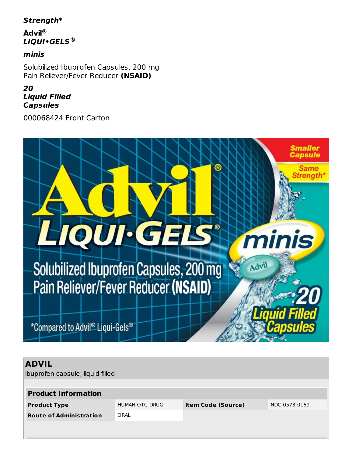## **Strength\***

**Advil ® LIQUI•GELS ®**

#### **minis**

Solubilized Ibuprofen Capsules, 200 mg Pain Reliever/Fever Reducer **(NSAID)**

### **20 Liquid Filled Capsules**

000068424 Front Carton



## **ADVIL**

ibuprofen capsule, liquid filled

| <b>Product Information</b>     |                |                           |               |  |
|--------------------------------|----------------|---------------------------|---------------|--|
| <b>Product Type</b>            | HUMAN OTC DRUG | <b>Item Code (Source)</b> | NDC:0573-0169 |  |
| <b>Route of Administration</b> | ORAL           |                           |               |  |
|                                |                |                           |               |  |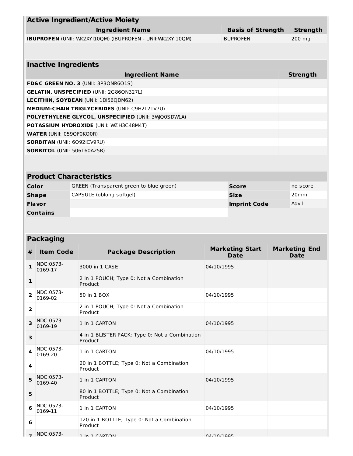|                |                                    | <b>Active Ingredient/Active Moiety</b>                     |            |                                       |                                     |
|----------------|------------------------------------|------------------------------------------------------------|------------|---------------------------------------|-------------------------------------|
|                |                                    | <b>Basis of Strength</b><br><b>Strength</b>                |            |                                       |                                     |
|                |                                    | IBUPROFEN (UNII: WK2XYI10QM) (IBUPROFEN - UNII:WK2XYI10QM) |            | <b>IBUPROFEN</b>                      | 200 mg                              |
|                |                                    |                                                            |            |                                       |                                     |
|                | <b>Inactive Ingredients</b>        |                                                            |            |                                       |                                     |
|                |                                    | <b>Ingredient Name</b>                                     |            |                                       | <b>Strength</b>                     |
|                |                                    | FD&C GREEN NO. 3 (UNII: 3P3ONR6O1S)                        |            |                                       |                                     |
|                |                                    | <b>GELATIN, UNSPECIFIED (UNII: 2G86QN327L)</b>             |            |                                       |                                     |
|                |                                    | <b>LECITHIN, SOYBEAN (UNII: 1DI56QDM62)</b>                |            |                                       |                                     |
|                |                                    | MEDIUM-CHAIN TRIGLYCERIDES (UNII: C9H2L21V7U)              |            |                                       |                                     |
|                |                                    | POLYETHYLENE GLYCOL, UNSPECIFIED (UNII: 3WQ0SDWLA)         |            |                                       |                                     |
|                |                                    | POTASSIUM HYDROXIDE (UNII: WZ H3C48M4T)                    |            |                                       |                                     |
|                | <b>WATER (UNII: 059QF0KO0R)</b>    |                                                            |            |                                       |                                     |
|                | <b>SORBITAN (UNII: 6092ICV9RU)</b> |                                                            |            |                                       |                                     |
|                | <b>SORBITOL (UNII: 506T60A25R)</b> |                                                            |            |                                       |                                     |
|                |                                    |                                                            |            |                                       |                                     |
|                |                                    | <b>Product Characteristics</b>                             |            |                                       |                                     |
|                | Color                              | GREEN (Transparent green to blue green)                    |            | <b>Score</b>                          | no score                            |
|                | <b>Shape</b>                       | CAPSULE (oblong softgel)                                   |            | <b>Size</b>                           | 20 <sub>mm</sub>                    |
|                | Flavor                             |                                                            |            | <b>Imprint Code</b>                   | Advil                               |
|                | <b>Contains</b>                    |                                                            |            |                                       |                                     |
|                |                                    |                                                            |            |                                       |                                     |
|                | <b>Packaging</b>                   |                                                            |            |                                       |                                     |
| #              | <b>Item Code</b>                   | <b>Package Description</b>                                 |            | <b>Marketing Start</b><br><b>Date</b> | <b>Marketing End</b><br><b>Date</b> |
|                | NDC:0573-<br>0169-17               | 3000 in 1 CASE                                             | 04/10/1995 |                                       |                                     |
| $\mathbf{1}$   |                                    | 2 in 1 POUCH; Type 0: Not a Combination<br>Product         |            |                                       |                                     |
| $\overline{2}$ | NDC:0573-<br>0169-02               | 50 in 1 BOX                                                | 04/10/1995 |                                       |                                     |
| $\mathbf{2}$   |                                    | 2 in 1 POUCH; Type 0: Not a Combination<br>Product         |            |                                       |                                     |
| 3              | NDC:0573-<br>0169-19               | 1 in 1 CARTON                                              | 04/10/1995 |                                       |                                     |
|                |                                    |                                                            |            |                                       |                                     |

| 3 |                      | 4 in 1 BLISTER PACK; Type 0: Not a Combination<br>Product |             |  |
|---|----------------------|-----------------------------------------------------------|-------------|--|
| 4 | NDC:0573-<br>0169-20 | 1 in 1 CARTON                                             | 04/10/1995  |  |
| 4 |                      | 20 in 1 BOTTLE; Type 0: Not a Combination<br>Product      |             |  |
| 5 | NDC:0573-<br>0169-40 | 1 in 1 CARTON                                             | 04/10/1995  |  |
| 5 |                      | 80 in 1 BOTTLE; Type 0: Not a Combination<br>Product      |             |  |
| 6 | NDC:0573-<br>0169-11 | 1 in 1 CARTON                                             | 04/10/1995  |  |
| 6 |                      | 120 in 1 BOTTLE; Type 0: Not a Combination<br>Product     |             |  |
|   | NDC:0573-            | $1 \times 1$ $CADTON$                                     | 0.4/10/1005 |  |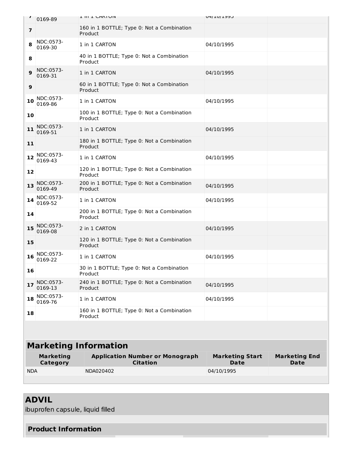| $\mathbf{r}$   | 0169-89                             | <b>I III I CARION</b>                                     | CALT /DT /HO                          |                                     |
|----------------|-------------------------------------|-----------------------------------------------------------|---------------------------------------|-------------------------------------|
| $\overline{7}$ |                                     | 160 in 1 BOTTLE; Type 0: Not a Combination<br>Product     |                                       |                                     |
| 8              | NDC:0573-<br>0169-30                | 1 in 1 CARTON                                             | 04/10/1995                            |                                     |
| 8              |                                     | 40 in 1 BOTTLE; Type 0: Not a Combination<br>Product      |                                       |                                     |
| $\mathbf{9}$   | NDC:0573-<br>0169-31                | 1 in 1 CARTON                                             | 04/10/1995                            |                                     |
| 9              |                                     | 60 in 1 BOTTLE; Type 0: Not a Combination<br>Product      |                                       |                                     |
| 10             | NDC:0573-<br>0169-86                | 1 in 1 CARTON                                             | 04/10/1995                            |                                     |
| 10             |                                     | 100 in 1 BOTTLE; Type 0: Not a Combination<br>Product     |                                       |                                     |
| 11             | NDC:0573-<br>0169-51                | 1 in 1 CARTON                                             | 04/10/1995                            |                                     |
| 11             |                                     | 180 in 1 BOTTLE; Type 0: Not a Combination<br>Product     |                                       |                                     |
| 12             | NDC:0573-<br>0169-43                | 1 in 1 CARTON                                             | 04/10/1995                            |                                     |
| 12             |                                     | 120 in 1 BOTTLE; Type 0: Not a Combination<br>Product     |                                       |                                     |
| 13             | NDC:0573-<br>0169-49                | 200 in 1 BOTTLE; Type 0: Not a Combination<br>Product     | 04/10/1995                            |                                     |
| 14             | NDC:0573-<br>0169-52                | 1 in 1 CARTON                                             | 04/10/1995                            |                                     |
| 14             |                                     | 200 in 1 BOTTLE; Type 0: Not a Combination<br>Product     |                                       |                                     |
| 15             | NDC:0573-<br>0169-08                | 2 in 1 CARTON                                             | 04/10/1995                            |                                     |
| 15             |                                     | 120 in 1 BOTTLE; Type 0: Not a Combination<br>Product     |                                       |                                     |
| 16             | NDC:0573-<br>0169-22                | 1 in 1 CARTON                                             | 04/10/1995                            |                                     |
| 16             |                                     | 30 in 1 BOTTLE; Type 0: Not a Combination<br>Product      |                                       |                                     |
| 17             | NDC:0573-<br>0169-13                | 240 in 1 BOTTLE; Type 0: Not a Combination<br>Product     | 04/10/1995                            |                                     |
| 18             | NDC:0573-<br>0169-76                | 1 in 1 CARTON                                             | 04/10/1995                            |                                     |
| 18             |                                     | 160 in 1 BOTTLE; Type 0: Not a Combination<br>Product     |                                       |                                     |
|                |                                     |                                                           |                                       |                                     |
|                |                                     | <b>Marketing Information</b>                              |                                       |                                     |
|                | <b>Marketing</b><br><b>Category</b> | <b>Application Number or Monograph</b><br><b>Citation</b> | <b>Marketing Start</b><br><b>Date</b> | <b>Marketing End</b><br><b>Date</b> |
| <b>NDA</b>     |                                     | NDA020402                                                 | 04/10/1995                            |                                     |
|                |                                     |                                                           |                                       |                                     |

# **ADVIL**

ibuprofen capsule, liquid filled

## **Product Information**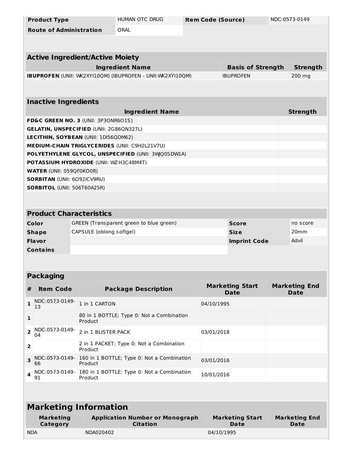|                         | <b>HUMAN OTC DRUG</b><br><b>Item Code (Source)</b><br>NDC:0573-0149<br><b>Product Type</b>  |                                                |                                                             |                              |                  |                                       |  |                                     |
|-------------------------|---------------------------------------------------------------------------------------------|------------------------------------------------|-------------------------------------------------------------|------------------------------|------------------|---------------------------------------|--|-------------------------------------|
|                         | <b>Route of Administration</b>                                                              |                                                | ORAL                                                        |                              |                  |                                       |  |                                     |
|                         |                                                                                             |                                                |                                                             |                              |                  |                                       |  |                                     |
|                         |                                                                                             | <b>Active Ingredient/Active Moiety</b>         |                                                             |                              |                  |                                       |  |                                     |
|                         |                                                                                             |                                                | <b>Ingredient Name</b>                                      |                              |                  | <b>Basis of Strength</b>              |  | <b>Strength</b>                     |
|                         |                                                                                             |                                                | IBUPROFEN (UNII: WK2XYI10QM) (IBUPROFEN - UNII: WK2XYI10QM) |                              |                  | <b>IBUPROFEN</b>                      |  | 200 mg                              |
|                         |                                                                                             |                                                |                                                             |                              |                  |                                       |  |                                     |
|                         | <b>Inactive Ingredients</b>                                                                 |                                                |                                                             |                              |                  |                                       |  |                                     |
|                         |                                                                                             |                                                | <b>Ingredient Name</b>                                      |                              |                  |                                       |  | <b>Strength</b>                     |
|                         |                                                                                             | FD&C GREEN NO. 3 (UNII: 3P3ONR6O1S)            |                                                             |                              |                  |                                       |  |                                     |
|                         |                                                                                             | <b>GELATIN, UNSPECIFIED (UNII: 2G86QN327L)</b> |                                                             |                              |                  |                                       |  |                                     |
|                         |                                                                                             | <b>LECITHIN, SOYBEAN (UNII: 1DI56QDM62)</b>    |                                                             |                              |                  |                                       |  |                                     |
|                         |                                                                                             |                                                | <b>MEDIUM-CHAIN TRIGLYCERIDES (UNII: C9H2L21V7U)</b>        |                              |                  |                                       |  |                                     |
|                         |                                                                                             |                                                | POLYETHYLENE GLYCOL, UNSPECIFIED (UNII: 3WQ0SDWLA)          |                              |                  |                                       |  |                                     |
|                         |                                                                                             | POTASSIUM HYDROXIDE (UNII: WZ H3C48M4T)        |                                                             |                              |                  |                                       |  |                                     |
|                         | <b>WATER (UNII: 059QF0KO0R)</b>                                                             |                                                |                                                             |                              |                  |                                       |  |                                     |
|                         | <b>SORBITAN (UNII: 6092ICV9RU)</b>                                                          |                                                |                                                             |                              |                  |                                       |  |                                     |
|                         | <b>SORBITOL (UNII: 506T60A25R)</b>                                                          |                                                |                                                             |                              |                  |                                       |  |                                     |
|                         |                                                                                             |                                                |                                                             |                              |                  |                                       |  |                                     |
|                         |                                                                                             | <b>Product Characteristics</b>                 |                                                             |                              |                  |                                       |  |                                     |
|                         | Color<br>GREEN (Transparent green to blue green)<br><b>Score</b><br>no score                |                                                |                                                             |                              |                  |                                       |  |                                     |
|                         | CAPSULE (oblong softgel)<br><b>Shape</b><br><b>Size</b>                                     |                                                |                                                             |                              | 20 <sub>mm</sub> |                                       |  |                                     |
|                         | Flavor                                                                                      |                                                |                                                             | Advil<br><b>Imprint Code</b> |                  |                                       |  |                                     |
|                         | <b>Contains</b>                                                                             |                                                |                                                             |                              |                  |                                       |  |                                     |
|                         |                                                                                             |                                                |                                                             |                              |                  |                                       |  |                                     |
|                         | <b>Packaging</b>                                                                            |                                                |                                                             |                              |                  |                                       |  |                                     |
| $\#$                    | <b>Item Code</b>                                                                            |                                                | <b>Package Description</b>                                  |                              |                  | <b>Marketing Start</b><br><b>Date</b> |  | <b>Marketing End</b><br><b>Date</b> |
| 1                       | NDC:0573-0149-<br>13                                                                        | 1 in 1 CARTON                                  |                                                             |                              | 04/10/1995       |                                       |  |                                     |
| 1                       |                                                                                             | Product                                        | 80 in 1 BOTTLE; Type 0: Not a Combination                   |                              |                  |                                       |  |                                     |
| $\overline{\mathbf{2}}$ | NDC:0573-0149-<br>04                                                                        | 2 in 1 BLISTER PACK                            |                                                             |                              | 03/01/2018       |                                       |  |                                     |
| $\overline{\mathbf{2}}$ | 2 in 1 PACKET; Type 0: Not a Combination<br>Product                                         |                                                |                                                             |                              |                  |                                       |  |                                     |
| 3                       | NDC:0573-0149-<br>66                                                                        | Product                                        | 160 in 1 BOTTLE; Type 0: Not a Combination                  | 03/01/2016                   |                  |                                       |  |                                     |
| 4                       | 180 in 1 BOTTLE; Type 0: Not a Combination<br>NDC:0573-0149-<br>10/01/2016<br>91<br>Product |                                                |                                                             |                              |                  |                                       |  |                                     |
|                         |                                                                                             |                                                |                                                             |                              |                  |                                       |  |                                     |
|                         |                                                                                             | <b>Marketing Information</b>                   |                                                             |                              |                  |                                       |  |                                     |
|                         | <b>Marketing</b><br>Category                                                                |                                                | <b>Application Number or Monograph</b><br><b>Citation</b>   |                              |                  | <b>Marketing Start</b><br>Date        |  | <b>Marketing End</b><br><b>Date</b> |
| <b>NDA</b>              |                                                                                             | NDA020402                                      |                                                             |                              | 04/10/1995       |                                       |  |                                     |
|                         |                                                                                             |                                                |                                                             |                              |                  |                                       |  |                                     |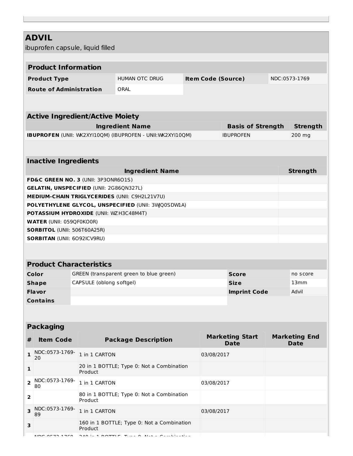| <b>ADVIL</b>                     |                                    |                                                      |                                                             |                           |                                       |  |                                     |
|----------------------------------|------------------------------------|------------------------------------------------------|-------------------------------------------------------------|---------------------------|---------------------------------------|--|-------------------------------------|
| ibuprofen capsule, liquid filled |                                    |                                                      |                                                             |                           |                                       |  |                                     |
|                                  | <b>Product Information</b>         |                                                      |                                                             |                           |                                       |  |                                     |
|                                  |                                    |                                                      |                                                             |                           |                                       |  |                                     |
|                                  | <b>Product Type</b>                |                                                      | <b>HUMAN OTC DRUG</b>                                       | <b>Item Code (Source)</b> |                                       |  | NDC:0573-1769                       |
|                                  | <b>Route of Administration</b>     |                                                      | ORAL                                                        |                           |                                       |  |                                     |
|                                  |                                    |                                                      |                                                             |                           |                                       |  |                                     |
|                                  |                                    | <b>Active Ingredient/Active Moiety</b>               |                                                             |                           |                                       |  |                                     |
|                                  |                                    |                                                      | <b>Ingredient Name</b>                                      |                           | <b>Basis of Strength</b>              |  | <b>Strength</b>                     |
|                                  |                                    |                                                      | IBUPROFEN (UNII: WK2XYI10QM) (IBUPROFEN - UNII: WK2XYI10QM) |                           | <b>IBUPROFEN</b>                      |  | 200 mg                              |
|                                  |                                    |                                                      |                                                             |                           |                                       |  |                                     |
|                                  | <b>Inactive Ingredients</b>        |                                                      |                                                             |                           |                                       |  |                                     |
|                                  |                                    |                                                      | <b>Ingredient Name</b>                                      |                           |                                       |  | <b>Strength</b>                     |
|                                  |                                    | FD&C GREEN NO. 3 (UNII: 3P3ONR6O1S)                  |                                                             |                           |                                       |  |                                     |
|                                  |                                    | <b>GELATIN, UNSPECIFIED (UNII: 2G86QN327L)</b>       |                                                             |                           |                                       |  |                                     |
|                                  |                                    |                                                      | <b>MEDIUM-CHAIN TRIGLYCERIDES (UNII: C9H2L21V7U)</b>        |                           |                                       |  |                                     |
|                                  |                                    |                                                      | POLYETHYLENE GLYCOL, UNSPECIFIED (UNII: 3WQ0SDWIA)          |                           |                                       |  |                                     |
|                                  |                                    | <b>POTASSIUM HYDROXIDE (UNII: WZH3C48M4T)</b>        |                                                             |                           |                                       |  |                                     |
|                                  | <b>WATER (UNII: 059QF0KO0R)</b>    |                                                      |                                                             |                           |                                       |  |                                     |
|                                  | <b>SORBITOL (UNII: 506T60A25R)</b> |                                                      |                                                             |                           |                                       |  |                                     |
|                                  | <b>SORBITAN (UNII: 6092ICV9RU)</b> |                                                      |                                                             |                           |                                       |  |                                     |
|                                  |                                    |                                                      |                                                             |                           |                                       |  |                                     |
|                                  | <b>Product Characteristics</b>     |                                                      |                                                             |                           |                                       |  |                                     |
|                                  | Color                              |                                                      | GREEN (transparent green to blue green)                     |                           | <b>Score</b>                          |  | no score                            |
|                                  | <b>Shape</b>                       | CAPSULE (oblong softgel)                             |                                                             |                           | 13mm<br><b>Size</b>                   |  |                                     |
|                                  | <b>Flavor</b>                      |                                                      |                                                             |                           | Advil<br><b>Imprint Code</b>          |  |                                     |
|                                  | <b>Contains</b>                    |                                                      |                                                             |                           |                                       |  |                                     |
|                                  |                                    |                                                      |                                                             |                           |                                       |  |                                     |
|                                  |                                    |                                                      |                                                             |                           |                                       |  |                                     |
|                                  | <b>Packaging</b>                   |                                                      |                                                             |                           |                                       |  |                                     |
| #                                | <b>Item Code</b>                   |                                                      | <b>Package Description</b>                                  |                           | <b>Marketing Start</b><br><b>Date</b> |  | <b>Marketing End</b><br><b>Date</b> |
| 1                                | NDC:0573-1769-<br>20               | 1 in 1 CARTON                                        |                                                             | 03/08/2017                |                                       |  |                                     |
| 1                                |                                    | 20 in 1 BOTTLE; Type 0: Not a Combination<br>Product |                                                             |                           |                                       |  |                                     |
| $\mathbf{2}$                     | NDC:0573-1769-<br>80               | 1 in 1 CARTON                                        |                                                             | 03/08/2017                |                                       |  |                                     |
| 2                                |                                    | Product                                              | 80 in 1 BOTTLE; Type 0: Not a Combination                   |                           |                                       |  |                                     |
| 3                                | NDC:0573-1769-<br>89               | 1 in 1 CARTON                                        |                                                             | 03/08/2017                |                                       |  |                                     |
| 3                                |                                    | Product                                              | 160 in 1 BOTTLE; Type 0: Not a Combination                  |                           |                                       |  |                                     |
|                                  |                                    |                                                      |                                                             |                           |                                       |  |                                     |